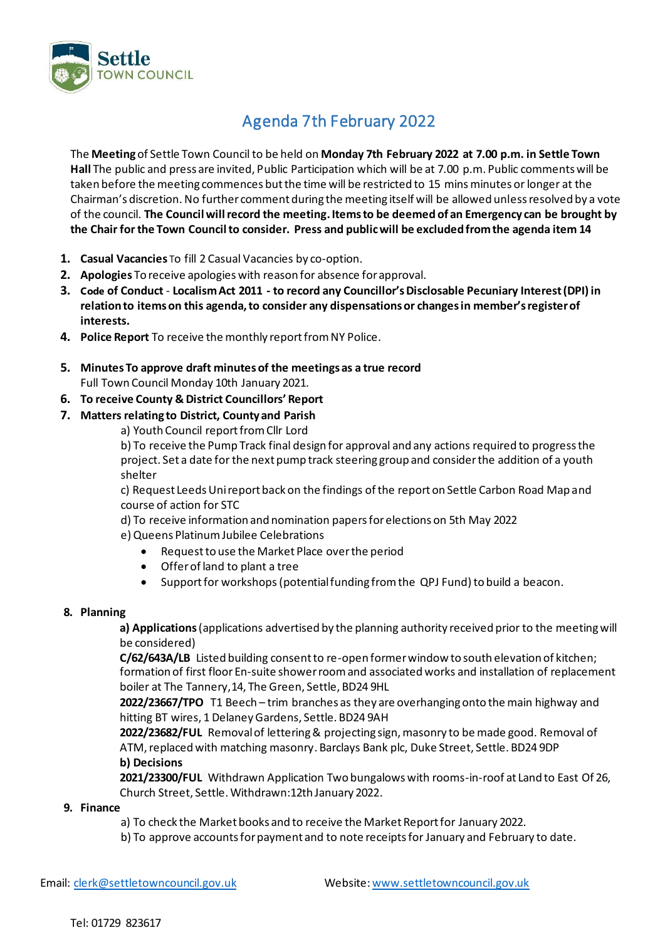

# Agenda 7th February 2022

The **Meeting** of Settle Town Council to be held on **Monday 7th February 2022 at 7.00 p.m. in Settle Town Hall** The public and press are invited, Public Participation which will be at 7.00 p.m. Public comments will be taken before the meeting commences but the time will be restricted to 15 minsminutes or longer at the Chairman's discretion. No further comment during the meeting itself will be allowed unless resolved by a vote of the council. **The Council will record the meeting.Items to be deemed of an Emergency can be brought by the Chair for the Town Council to consider. Press and public will be excluded from the agenda item 14**

- **1. Casual Vacancies** To fill 2 Casual Vacancies by co-option.
- **2. Apologies** To receive apologies with reason for absence for approval.
- **3. Code of Conduct Localism Act 2011 - to record any Councillor's Disclosable Pecuniary Interest (DPI) in relation to items on this agenda, to consider any dispensations or changes in member's register of interests.**
- **4. Police Report** To receive the monthly report from NY Police.
- **5. Minutes To approve draft minutes of the meetings as a true record**  Full Town Council Monday 10th January 2021.
- **6. To receive County & District Councillors' Report**
- **7. Matters relating to District, County and Parish**
	- a) Youth Council report from Cllr Lord

b) To receive the Pump Track final design for approval and any actions required to progress the project. Set a date for the next pump track steering group and consider the addition of a youth shelter

c) Request Leeds Uni report back on the findings of the report on Settle Carbon Road Map and course of action for STC

d) To receive information and nomination papers for elections on 5th May 2022

e) Queens Platinum Jubilee Celebrations

- Request to use the Market Place over the period
- Offer of land to plant a tree
- Support for workshops (potentialfunding from the QPJ Fund) to build a beacon.

### **8. Planning**

**a) Applications** (applications advertised by the planning authority received prior to the meeting will be considered)

**C/62/643A/LB** Listed building consent to re-open former window to south elevation of kitchen; formation of first floor En-suite shower room and associated works and installation of replacement boiler at The Tannery,14, The Green, Settle, BD24 9HL

**2022/23667/TPO** T1 Beech – trim branches as they are overhanging onto the main highway and hitting BT wires, 1 Delaney Gardens, Settle. BD24 9AH

**2022/23682/FUL** Removal of lettering & projecting sign, masonry to be made good. Removal of ATM, replaced with matching masonry. Barclays Bank plc, Duke Street, Settle. BD24 9DP **b) Decisions**

**2021/23300/FUL** Withdrawn Application Two bungalows with rooms-in-roof at Land to East Of 26, Church Street, Settle. Withdrawn:12th January 2022.

### **9. Finance**

a) To check the Market books and to receive the Market Report for January 2022.

b) To approve accounts for payment and to note receipts for January and February to date.